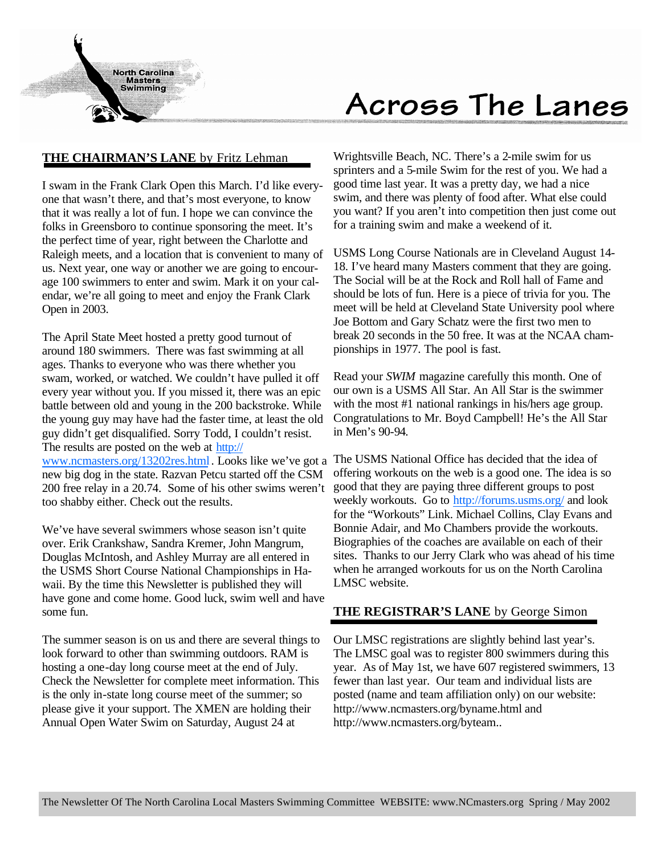

# Across The Lanes

## **THE CHAIRMAN'S LANE** by Fritz Lehman

I swam in the Frank Clark Open this March. I'd like everyone that wasn't there, and that's most everyone, to know that it was really a lot of fun. I hope we can convince the folks in Greensboro to continue sponsoring the meet. It's the perfect time of year, right between the Charlotte and Raleigh meets, and a location that is convenient to many of us. Next year, one way or another we are going to encourage 100 swimmers to enter and swim. Mark it on your calendar, we're all going to meet and enjoy the Frank Clark Open in 2003.

The April State Meet hosted a pretty good turnout of around 180 swimmers. There was fast swimming at all ages. Thanks to everyone who was there whether you swam, worked, or watched. We couldn't have pulled it off every year without you. If you missed it, there was an epic battle between old and young in the 200 backstroke. While the young guy may have had the faster time, at least the old guy didn't get disqualified. Sorry Todd, I couldn't resist. The results are posted on the web at http://

www.ncmasters.org/13202res.html . Looks like we've got a new big dog in the state. Razvan Petcu started off the CSM 200 free relay in a 20.74. Some of his other swims weren't too shabby either. Check out the results.

We've have several swimmers whose season isn't quite over. Erik Crankshaw, Sandra Kremer, John Mangrum, Douglas McIntosh, and Ashley Murray are all entered in the USMS Short Course National Championships in Hawaii. By the time this Newsletter is published they will have gone and come home. Good luck, swim well and have some fun.

The summer season is on us and there are several things to look forward to other than swimming outdoors. RAM is hosting a one-day long course meet at the end of July. Check the Newsletter for complete meet information. This is the only in-state long course meet of the summer; so please give it your support. The XMEN are holding their Annual Open Water Swim on Saturday, August 24 at

Wrightsville Beach, NC. There's a 2-mile swim for us sprinters and a 5-mile Swim for the rest of you. We had a good time last year. It was a pretty day, we had a nice swim, and there was plenty of food after. What else could you want? If you aren't into competition then just come out for a training swim and make a weekend of it.

USMS Long Course Nationals are in Cleveland August 14- 18. I've heard many Masters comment that they are going. The Social will be at the Rock and Roll hall of Fame and should be lots of fun. Here is a piece of trivia for you. The meet will be held at Cleveland State University pool where Joe Bottom and Gary Schatz were the first two men to break 20 seconds in the 50 free. It was at the NCAA championships in 1977. The pool is fast.

Read your *SWIM* magazine carefully this month. One of our own is a USMS All Star. An All Star is the swimmer with the most #1 national rankings in his/hers age group. Congratulations to Mr. Boyd Campbell! He's the All Star in Men's 90-94.

The USMS National Office has decided that the idea of offering workouts on the web is a good one. The idea is so good that they are paying three different groups to post weekly workouts. Go to http://forums.usms.org/ and look for the "Workouts" Link. Michael Collins, Clay Evans and Bonnie Adair, and Mo Chambers provide the workouts. Biographies of the coaches are available on each of their sites. Thanks to our Jerry Clark who was ahead of his time when he arranged workouts for us on the North Carolina LMSC website.

### **THE REGISTRAR'S LANE** by George Simon

Our LMSC registrations are slightly behind last year's. The LMSC goal was to register 800 swimmers during this year. As of May 1st, we have 607 registered swimmers, 13 fewer than last year. Our team and individual lists are posted (name and team affiliation only) on our website: http://www.ncmasters.org/byname.html and http://www.ncmasters.org/byteam..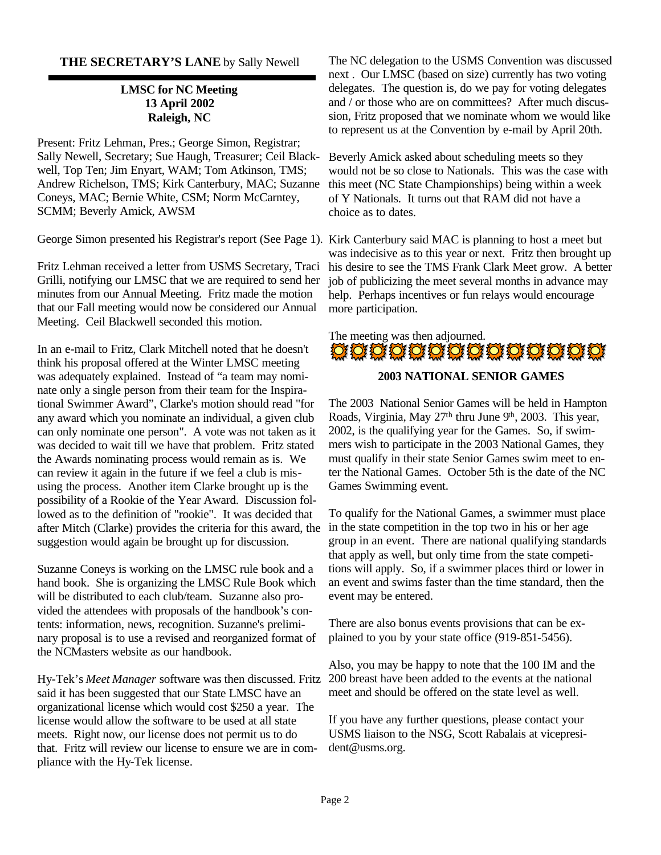#### **THE SECRETARY'S LANE** by Sally Newell

#### **LMSC for NC Meeting 13 April 2002 Raleigh, NC**

Present: Fritz Lehman, Pres.; George Simon, Registrar; Sally Newell, Secretary; Sue Haugh, Treasurer; Ceil Blackwell, Top Ten; Jim Enyart, WAM; Tom Atkinson, TMS; Andrew Richelson, TMS; Kirk Canterbury, MAC; Suzanne Coneys, MAC; Bernie White, CSM; Norm McCarntey, SCMM; Beverly Amick, AWSM

George Simon presented his Registrar's report (See Page 1). Kirk Canterbury said MAC is planning to host a meet but

Fritz Lehman received a letter from USMS Secretary, Traci Grilli, notifying our LMSC that we are required to send her minutes from our Annual Meeting. Fritz made the motion that our Fall meeting would now be considered our Annual Meeting. Ceil Blackwell seconded this motion.

In an e-mail to Fritz, Clark Mitchell noted that he doesn't think his proposal offered at the Winter LMSC meeting was adequately explained. Instead of "a team may nominate only a single person from their team for the Inspirational Swimmer Award", Clarke's motion should read "for any award which you nominate an individual, a given club can only nominate one person". A vote was not taken as it was decided to wait till we have that problem. Fritz stated the Awards nominating process would remain as is. We can review it again in the future if we feel a club is misusing the process. Another item Clarke brought up is the possibility of a Rookie of the Year Award. Discussion followed as to the definition of "rookie". It was decided that after Mitch (Clarke) provides the criteria for this award, the suggestion would again be brought up for discussion.

Suzanne Coneys is working on the LMSC rule book and a hand book. She is organizing the LMSC Rule Book which will be distributed to each club/team. Suzanne also provided the attendees with proposals of the handbook's contents: information, news, recognition. Suzanne's preliminary proposal is to use a revised and reorganized format of the NCMasters website as our handbook.

said it has been suggested that our State LMSC have an organizational license which would cost \$250 a year. The license would allow the software to be used at all state meets. Right now, our license does not permit us to do that. Fritz will review our license to ensure we are in compliance with the Hy-Tek license.

The NC delegation to the USMS Convention was discussed next . Our LMSC (based on size) currently has two voting delegates. The question is, do we pay for voting delegates and / or those who are on committees? After much discussion, Fritz proposed that we nominate whom we would like to represent us at the Convention by e-mail by April 20th.

Beverly Amick asked about scheduling meets so they would not be so close to Nationals. This was the case with this meet (NC State Championships) being within a week of Y Nationals. It turns out that RAM did not have a choice as to dates.

was indecisive as to this year or next. Fritz then brought up his desire to see the TMS Frank Clark Meet grow. A better job of publicizing the meet several months in advance may help. Perhaps incentives or fun relays would encourage more participation.

# The meeting was then adjourned.<br> $\frac{1}{2}$   $\frac{1}{2}$   $\frac{1}{2}$   $\frac{1}{2}$   $\frac{1}{2}$   $\frac{1}{2}$   $\frac{1}{2}$   $\frac{1}{2}$   $\frac{1}{2}$   $\frac{1}{2}$   $\frac{1}{2}$   $\frac{1}{2}$   $\frac{1}{2}$   $\frac{1}{2}$   $\frac{1}{2}$   $\frac{1}{2}$   $\frac{1}{2}$   $\frac{1}{2}$   $\frac{1}{2}$

#### **2003 NATIONAL SENIOR GAMES**

The 2003 National Senior Games will be held in Hampton Roads, Virginia, May 27<sup>th</sup> thru June 9<sup>th</sup>, 2003. This year, 2002, is the qualifying year for the Games. So, if swimmers wish to participate in the 2003 National Games, they must qualify in their state Senior Games swim meet to enter the National Games. October 5th is the date of the NC Games Swimming event.

To qualify for the National Games, a swimmer must place in the state competition in the top two in his or her age group in an event. There are national qualifying standards that apply as well, but only time from the state competitions will apply. So, if a swimmer places third or lower in an event and swims faster than the time standard, then the event may be entered.

There are also bonus events provisions that can be explained to you by your state office (919-851-5456).

Hy-Tek's *Meet Manager* software was then discussed. Fritz 200 breast have been added to the events at the national Also, you may be happy to note that the 100 IM and the meet and should be offered on the state level as well.

> If you have any further questions, please contact your USMS liaison to the NSG, Scott Rabalais at vicepresident@usms.org.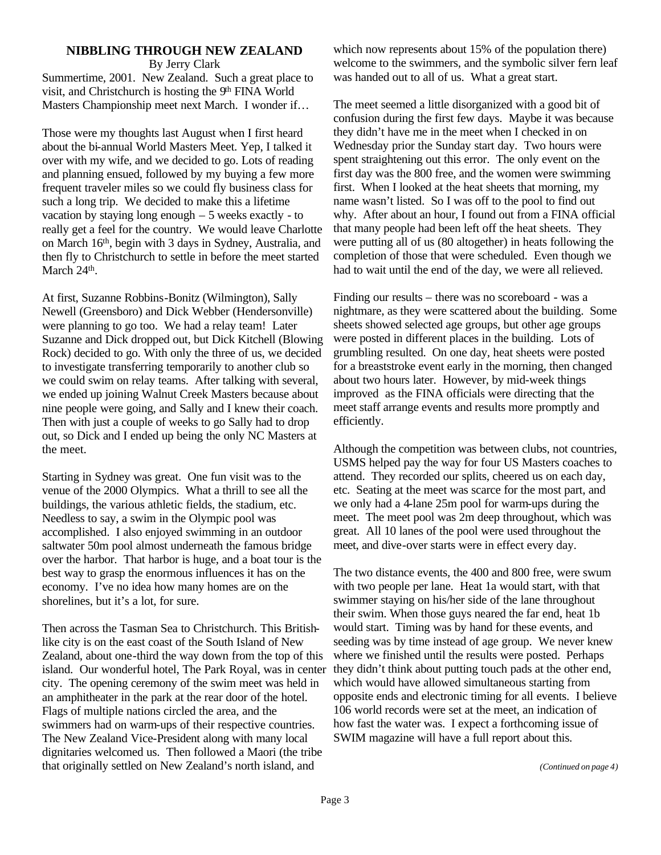#### **NIBBLING THROUGH NEW ZEALAND** By Jerry Clark

Summertime, 2001. New Zealand. Such a great place to visit, and Christchurch is hosting the 9<sup>th</sup> FINA World Masters Championship meet next March. I wonder if…

Those were my thoughts last August when I first heard about the bi-annual World Masters Meet. Yep, I talked it over with my wife, and we decided to go. Lots of reading and planning ensued, followed by my buying a few more frequent traveler miles so we could fly business class for such a long trip. We decided to make this a lifetime vacation by staying long enough  $-5$  weeks exactly - to really get a feel for the country. We would leave Charlotte on March 16th, begin with 3 days in Sydney, Australia, and then fly to Christchurch to settle in before the meet started March 24<sup>th</sup>.

At first, Suzanne Robbins-Bonitz (Wilmington), Sally Newell (Greensboro) and Dick Webber (Hendersonville) were planning to go too. We had a relay team! Later Suzanne and Dick dropped out, but Dick Kitchell (Blowing Rock) decided to go. With only the three of us, we decided to investigate transferring temporarily to another club so we could swim on relay teams. After talking with several, we ended up joining Walnut Creek Masters because about nine people were going, and Sally and I knew their coach. Then with just a couple of weeks to go Sally had to drop out, so Dick and I ended up being the only NC Masters at the meet.

Starting in Sydney was great. One fun visit was to the venue of the 2000 Olympics. What a thrill to see all the buildings, the various athletic fields, the stadium, etc. Needless to say, a swim in the Olympic pool was accomplished. I also enjoyed swimming in an outdoor saltwater 50m pool almost underneath the famous bridge over the harbor. That harbor is huge, and a boat tour is the best way to grasp the enormous influences it has on the economy. I've no idea how many homes are on the shorelines, but it's a lot, for sure.

Then across the Tasman Sea to Christchurch. This Britishlike city is on the east coast of the South Island of New Zealand, about one-third the way down from the top of this island. Our wonderful hotel, The Park Royal, was in center city. The opening ceremony of the swim meet was held in an amphitheater in the park at the rear door of the hotel. Flags of multiple nations circled the area, and the swimmers had on warm-ups of their respective countries. The New Zealand Vice-President along with many local dignitaries welcomed us. Then followed a Maori (the tribe that originally settled on New Zealand's north island, and

which now represents about 15% of the population there) welcome to the swimmers, and the symbolic silver fern leaf was handed out to all of us. What a great start.

The meet seemed a little disorganized with a good bit of confusion during the first few days. Maybe it was because they didn't have me in the meet when I checked in on Wednesday prior the Sunday start day. Two hours were spent straightening out this error. The only event on the first day was the 800 free, and the women were swimming first. When I looked at the heat sheets that morning, my name wasn't listed. So I was off to the pool to find out why. After about an hour, I found out from a FINA official that many people had been left off the heat sheets. They were putting all of us (80 altogether) in heats following the completion of those that were scheduled. Even though we had to wait until the end of the day, we were all relieved.

Finding our results – there was no scoreboard - was a nightmare, as they were scattered about the building. Some sheets showed selected age groups, but other age groups were posted in different places in the building. Lots of grumbling resulted. On one day, heat sheets were posted for a breaststroke event early in the morning, then changed about two hours later. However, by mid-week things improved as the FINA officials were directing that the meet staff arrange events and results more promptly and efficiently.

Although the competition was between clubs, not countries, USMS helped pay the way for four US Masters coaches to attend. They recorded our splits, cheered us on each day, etc. Seating at the meet was scarce for the most part, and we only had a 4-lane 25m pool for warm-ups during the meet. The meet pool was 2m deep throughout, which was great. All 10 lanes of the pool were used throughout the meet, and dive-over starts were in effect every day.

The two distance events, the 400 and 800 free, were swum with two people per lane. Heat 1a would start, with that swimmer staying on his/her side of the lane throughout their swim. When those guys neared the far end, heat 1b would start. Timing was by hand for these events, and seeding was by time instead of age group. We never knew where we finished until the results were posted. Perhaps they didn't think about putting touch pads at the other end, which would have allowed simultaneous starting from opposite ends and electronic timing for all events. I believe 106 world records were set at the meet, an indication of how fast the water was. I expect a forthcoming issue of SWIM magazine will have a full report about this.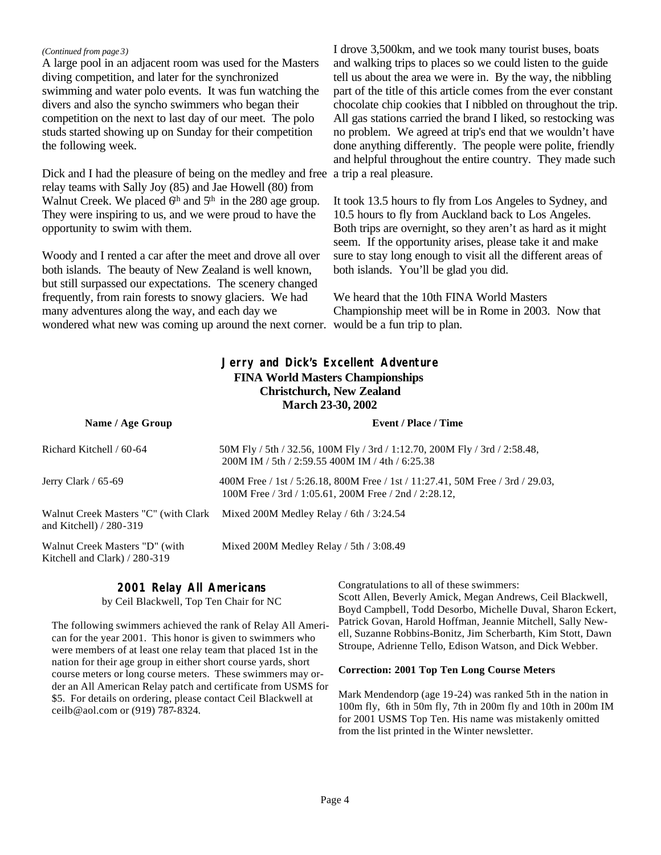#### *(Continued from page 3)*

A large pool in an adjacent room was used for the Masters diving competition, and later for the synchronized swimming and water polo events. It was fun watching the divers and also the syncho swimmers who began their competition on the next to last day of our meet. The polo studs started showing up on Sunday for their competition the following week.

Dick and I had the pleasure of being on the medley and free relay teams with Sally Joy (85) and Jae Howell (80) from Walnut Creek. We placed  $6<sup>th</sup>$  and  $5<sup>th</sup>$  in the 280 age group. They were inspiring to us, and we were proud to have the opportunity to swim with them.

Woody and I rented a car after the meet and drove all over both islands. The beauty of New Zealand is well known, but still surpassed our expectations. The scenery changed frequently, from rain forests to snowy glaciers. We had many adventures along the way, and each day we wondered what new was coming up around the next corner. would be a fun trip to plan.

I drove 3,500km, and we took many tourist buses, boats and walking trips to places so we could listen to the guide tell us about the area we were in. By the way, the nibbling part of the title of this article comes from the ever constant chocolate chip cookies that I nibbled on throughout the trip. All gas stations carried the brand I liked, so restocking was no problem. We agreed at trip's end that we wouldn't have done anything differently. The people were polite, friendly and helpful throughout the entire country. They made such a trip a real pleasure.

It took 13.5 hours to fly from Los Angeles to Sydney, and 10.5 hours to fly from Auckland back to Los Angeles. Both trips are overnight, so they aren't as hard as it might seem. If the opportunity arises, please take it and make sure to stay long enough to visit all the different areas of both islands. You'll be glad you did.

We heard that the 10th FINA World Masters Championship meet will be in Rome in 2003. Now that

#### **Jerry and Dick's Excellent Adventure FINA World Masters Championships Christchurch, New Zealand March 23-30, 2002**

| Name / Age Group                                                | <b>Event / Place / Time</b>                                                                                                             |
|-----------------------------------------------------------------|-----------------------------------------------------------------------------------------------------------------------------------------|
| Richard Kitchell / 60-64                                        | 50M Fly / 5th / 32.56, 100M Fly / 3rd / 1:12.70, 200M Fly / 3rd / 2:58.48,<br>200M IM / 5th / 2:59.55 400M IM / 4th / 6:25.38           |
| Jerry Clark / 65-69                                             | 400M Free / 1st / 5:26.18, 800M Free / 1st / 11:27.41, 50M Free / 3rd / 29.03,<br>100M Free / 3rd / 1:05.61, 200M Free / 2nd / 2:28.12, |
| and Kitchell) / 280-319                                         | Walnut Creek Masters "C" (with Clark Mixed 200M Medley Relay / 6th / 3:24.54                                                            |
| Walnut Creek Masters "D" (with<br>Kitchell and Clark) / 280-319 | Mixed 200M Medley Relay / 5th / 3:08.49                                                                                                 |

### **2001 Relay All Americans**

by Ceil Blackwell, Top Ten Chair for NC

The following swimmers achieved the rank of Relay All American for the year 2001. This honor is given to swimmers who were members of at least one relay team that placed 1st in the nation for their age group in either short course yards, short course meters or long course meters. These swimmers may order an All American Relay patch and certificate from USMS for \$5. For details on ordering, please contact Ceil Blackwell at ceilb@aol.com or (919) 787-8324.

Congratulations to all of these swimmers: Scott Allen, Beverly Amick, Megan Andrews, Ceil Blackwell, Boyd Campbell, Todd Desorbo, Michelle Duval, Sharon Eckert, Patrick Govan, Harold Hoffman, Jeannie Mitchell, Sally Newell, Suzanne Robbins-Bonitz, Jim Scherbarth, Kim Stott, Dawn Stroupe, Adrienne Tello, Edison Watson, and Dick Webber.

#### **Correction: 2001 Top Ten Long Course Meters**

Mark Mendendorp (age 19-24) was ranked 5th in the nation in 100m fly, 6th in 50m fly, 7th in 200m fly and 10th in 200m IM for 2001 USMS Top Ten. His name was mistakenly omitted from the list printed in the Winter newsletter.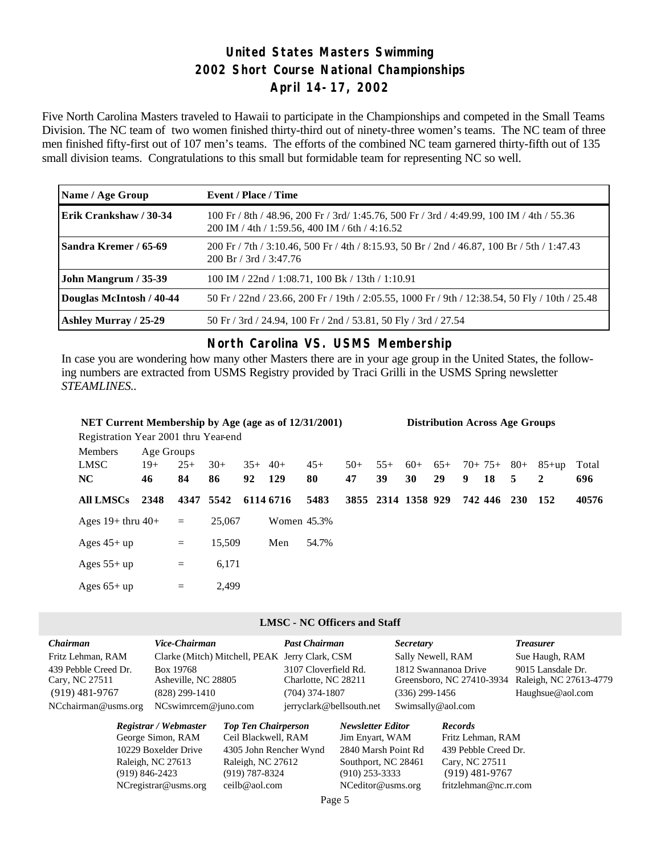# **United States Masters Swimming 2002 Short Course National Championships April 14-17, 2002**

Five North Carolina Masters traveled to Hawaii to participate in the Championships and competed in the Small Teams Division. The NC team of two women finished thirty-third out of ninety-three women's teams. The NC team of three men finished fifty-first out of 107 men's teams. The efforts of the combined NC team garnered thirty-fifth out of 135 small division teams. Congratulations to this small but formidable team for representing NC so well.

| Name / Age Group         | Event / Place / Time                                                                                                                        |
|--------------------------|---------------------------------------------------------------------------------------------------------------------------------------------|
| Erik Crankshaw / 30-34   | 100 Fr / 8th / 48.96, 200 Fr / 3rd/ 1:45.76, 500 Fr / 3rd / 4:49.99, 100 IM / 4th / 55.36<br>200 IM / 4th / 1:59.56, 400 IM / 6th / 4:16.52 |
| Sandra Kremer / 65-69    | 200 Fr / 7th / 3:10.46, 500 Fr / 4th / 8:15.93, 50 Br / 2nd / 46.87, 100 Br / 5th / 1:47.43<br>$200 \text{ Br} / 3 \text{ rd} / 3:47.76$    |
| John Mangrum / 35-39     | 100 IM / 22nd / 1:08.71, 100 Bk / 13th / 1:10.91                                                                                            |
| Douglas McIntosh / 40-44 | 50 Fr / 22nd / 23.66, 200 Fr / 19th / 2:05.55, 1000 Fr / 9th / 12:38.54, 50 Fly / 10th / 25.48                                              |
| Ashley Murray / 25-29    | 50 Fr / 3rd / 24.94, 100 Fr / 2nd / 53.81, 50 Fly / 3rd / 27.54                                                                             |

#### **North Carolina VS. USMS Membership**

In case you are wondering how many other Masters there are in your age group in the United States, the following numbers are extracted from USMS Registry provided by Traci Grilli in the USMS Spring newsletter *STEAMLINES..*

| NET Current Membership by Age (age as of 12/31/2001)<br><b>Distribution Across Age Groups</b> |            |       |           |          |             |       |       |                    |       |       |   |             |            |         |       |
|-----------------------------------------------------------------------------------------------|------------|-------|-----------|----------|-------------|-------|-------|--------------------|-------|-------|---|-------------|------------|---------|-------|
| Registration Year 2001 thru Year-end                                                          |            |       |           |          |             |       |       |                    |       |       |   |             |            |         |       |
| <b>Members</b>                                                                                | Age Groups |       |           |          |             |       |       |                    |       |       |   |             |            |         |       |
| LMSC                                                                                          | $19+$      | $25+$ | $30+$     | $35+40+$ |             | $45+$ | $50+$ | $55+$              | $60+$ | $65+$ |   | $70+75+80+$ |            | $85+up$ | Total |
| NC                                                                                            | 46         | 84    | 86        | 92       | 129         | 80    | 47    | 39                 | 30    | 29    | 9 | 18          | 5          | 2       | 696   |
| <b>All LMSCs</b>                                                                              | 2348       |       | 4347 5542 |          | 6114 6716   | 5483  |       | 3855 2314 1358 929 |       |       |   | 742 446     | <b>230</b> | - 152   | 40576 |
| Ages $19+$ thru $40+$                                                                         |            | $=$   | 25,067    |          | Women 45.3% |       |       |                    |       |       |   |             |            |         |       |
| Ages $45+up$                                                                                  |            | $=$   | 15,509    |          | Men         | 54.7% |       |                    |       |       |   |             |            |         |       |
| Ages $55+up$                                                                                  |            | $=$   | 6,171     |          |             |       |       |                    |       |       |   |             |            |         |       |
| Ages $65+up$                                                                                  |            | $=$   | 2.499     |          |             |       |       |                    |       |       |   |             |            |         |       |

#### **LMSC - NC Officers and Staff**

| <b>Chairman</b>      | Vice-Chairman                                  | <b>Past Chairman</b>     | <b>Secretary</b>          | <b>Treasurer</b>       |
|----------------------|------------------------------------------------|--------------------------|---------------------------|------------------------|
| Fritz Lehman, RAM    | Clarke (Mitch) Mitchell, PEAK Jerry Clark, CSM |                          | Sally Newell, RAM         | Sue Haugh, RAM         |
| 439 Pebble Creed Dr. | Box 19768                                      | 3107 Cloverfield Rd.     | 1812 Swannanoa Drive      | 9015 Lansdale Dr.      |
| Cary, NC 27511       | Asheville, NC 28805                            | Charlotte, NC 28211      | Greensboro, NC 27410-3934 | Raleigh, NC 27613-4779 |
| $(919)$ 481-9767     | $(828)$ 299-1410                               | $(704)$ 374-1807         | $(336)$ 299-1456          | Haughsue@aol.com       |
| NCchairman@usms.org  | $NCswim$ cem $@juno.com$                       | jerryclark@bellsouth.net | Swimsally@aol.com         |                        |
|                      |                                                |                          |                           |                        |

| Registrar / Webmaster   | <b>Top Ten Chairperson</b> | <b>Newsletter Editor</b> | <b>Records</b>        |
|-------------------------|----------------------------|--------------------------|-----------------------|
| George Simon, RAM       | Ceil Blackwell, RAM        | Jim Enyart, WAM          | Fritz Lehman, RAM     |
| 10229 Boxelder Drive    | 4305 John Rencher Wynd     | 2840 Marsh Point Rd      | 439 Pebble Creed Dr.  |
| Raleigh, NC 27613       | Raleigh, NC 27612          | Southport, NC 28461      | Cary, NC 27511        |
| $(919) 846 - 2423$      | $(919) 787 - 8324$         | $(910)$ 253-3333         | $(919)$ 481-9767      |
| $NC$ registrar@usms.org | ceilb@aol.com              | NCeditor@usms.org        | fritzlehman@nc.rr.com |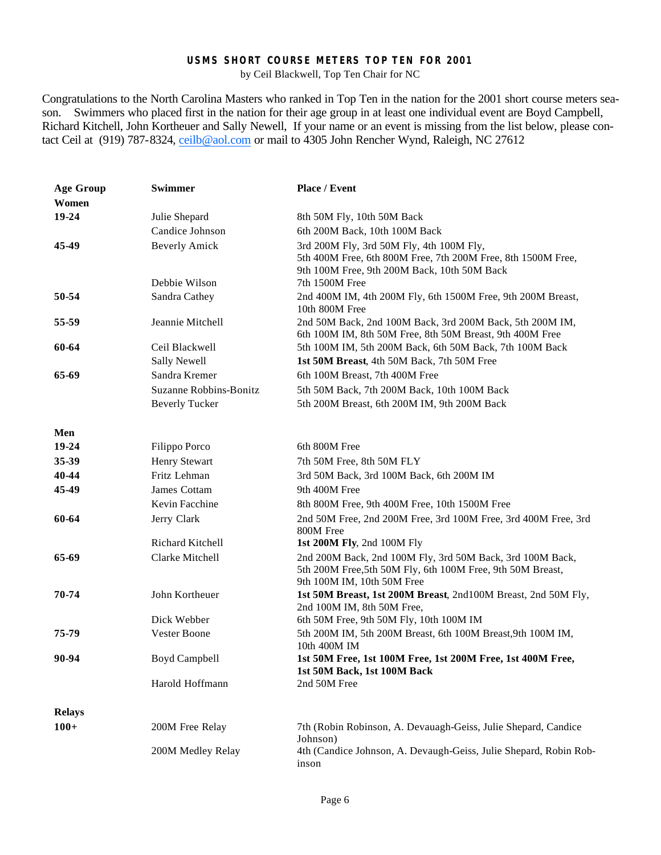#### **USMS SHORT COURSE METERS TOP TEN FOR 2001**

by Ceil Blackwell, Top Ten Chair for NC

Congratulations to the North Carolina Masters who ranked in Top Ten in the nation for the 2001 short course meters season. Swimmers who placed first in the nation for their age group in at least one individual event are Boyd Campbell, Richard Kitchell, John Kortheuer and Sally Newell, If your name or an event is missing from the list below, please contact Ceil at (919) 787-8324, ceilb@aol.com or mail to 4305 John Rencher Wynd, Raleigh, NC 27612

| <b>Age Group</b> | <b>Swimmer</b>          | Place / Event                                                                                                                                           |
|------------------|-------------------------|---------------------------------------------------------------------------------------------------------------------------------------------------------|
| Women            |                         |                                                                                                                                                         |
| 19-24            | Julie Shepard           | 8th 50M Fly, 10th 50M Back                                                                                                                              |
|                  | Candice Johnson         | 6th 200M Back, 10th 100M Back                                                                                                                           |
| 45-49            | <b>Beverly Amick</b>    | 3rd 200M Fly, 3rd 50M Fly, 4th 100M Fly,<br>5th 400M Free, 6th 800M Free, 7th 200M Free, 8th 1500M Free,<br>9th 100M Free, 9th 200M Back, 10th 50M Back |
|                  | Debbie Wilson           | 7th 1500M Free                                                                                                                                          |
| 50-54            | Sandra Cathey           | 2nd 400M IM, 4th 200M Fly, 6th 1500M Free, 9th 200M Breast,<br>10th 800M Free                                                                           |
| 55-59            | Jeannie Mitchell        | 2nd 50M Back, 2nd 100M Back, 3rd 200M Back, 5th 200M IM,<br>6th 100M IM, 8th 50M Free, 8th 50M Breast, 9th 400M Free                                    |
| 60-64            | Ceil Blackwell          | 5th 100M IM, 5th 200M Back, 6th 50M Back, 7th 100M Back                                                                                                 |
|                  | <b>Sally Newell</b>     | 1st 50M Breast, 4th 50M Back, 7th 50M Free                                                                                                              |
| 65-69            | Sandra Kremer           | 6th 100M Breast, 7th 400M Free                                                                                                                          |
|                  | Suzanne Robbins-Bonitz  | 5th 50M Back, 7th 200M Back, 10th 100M Back                                                                                                             |
|                  | <b>Beverly Tucker</b>   | 5th 200M Breast, 6th 200M IM, 9th 200M Back                                                                                                             |
| Men              |                         |                                                                                                                                                         |
| 19-24            | Filippo Porco           | 6th 800M Free                                                                                                                                           |
| 35-39            | <b>Henry Stewart</b>    | 7th 50M Free, 8th 50M FLY                                                                                                                               |
| 40-44            | Fritz Lehman            | 3rd 50M Back, 3rd 100M Back, 6th 200M IM                                                                                                                |
| 45-49            | James Cottam            | 9th 400M Free                                                                                                                                           |
|                  | Kevin Facchine          | 8th 800M Free, 9th 400M Free, 10th 1500M Free                                                                                                           |
| 60-64            | Jerry Clark             | 2nd 50M Free, 2nd 200M Free, 3rd 100M Free, 3rd 400M Free, 3rd<br>800M Free                                                                             |
|                  | <b>Richard Kitchell</b> | 1st 200M Fly, 2nd 100M Fly                                                                                                                              |
| 65-69            | Clarke Mitchell         | 2nd 200M Back, 2nd 100M Fly, 3rd 50M Back, 3rd 100M Back,<br>5th 200M Free, 5th 50M Fly, 6th 100M Free, 9th 50M Breast,<br>9th 100M IM, 10th 50M Free   |
| 70-74            | John Kortheuer          | 1st 50M Breast, 1st 200M Breast, 2nd100M Breast, 2nd 50M Fly,<br>2nd 100M IM, 8th 50M Free,                                                             |
|                  | Dick Webber             | 6th 50M Free, 9th 50M Fly, 10th 100M IM                                                                                                                 |
| 75-79            | Vester Boone            | 5th 200M IM, 5th 200M Breast, 6th 100M Breast, 9th 100M IM,<br>10th 400M IM                                                                             |
| 90-94            | Boyd Campbell           | 1st 50M Free, 1st 100M Free, 1st 200M Free, 1st 400M Free,<br>1st 50M Back, 1st 100M Back                                                               |
|                  | Harold Hoffmann         | 2nd 50M Free                                                                                                                                            |
| <b>Relays</b>    |                         |                                                                                                                                                         |
| $100+$           | 200M Free Relay         | 7th (Robin Robinson, A. Devauagh-Geiss, Julie Shepard, Candice<br>Johnson)                                                                              |
|                  | 200M Medley Relay       | 4th (Candice Johnson, A. Devaugh-Geiss, Julie Shepard, Robin Rob-<br>inson                                                                              |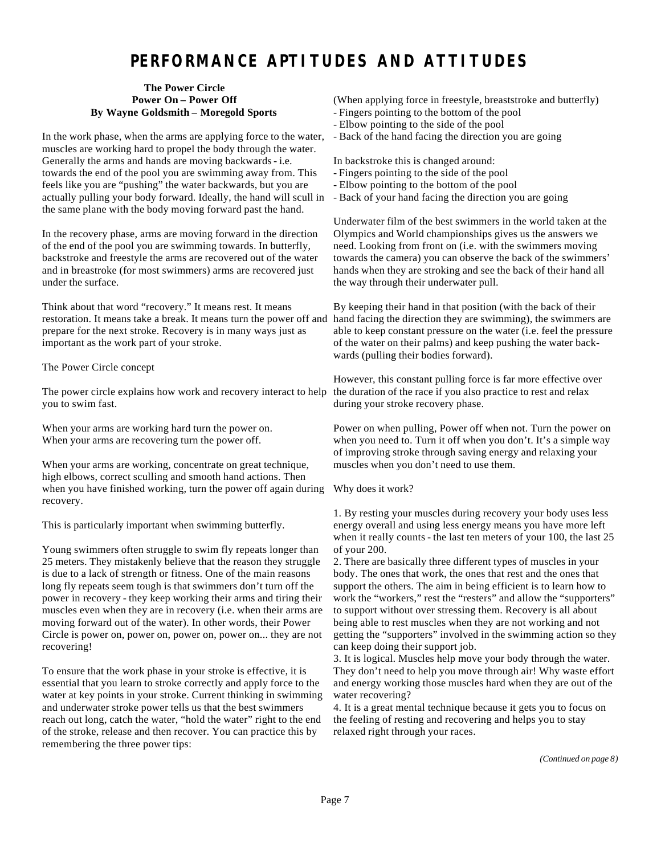# **PERFORMANCE APTITUDES AND ATTITUDES**

#### **The Power Circle Power On – Power Off By Wayne Goldsmith – Moregold Sports**

In the work phase, when the arms are applying force to the water, muscles are working hard to propel the body through the water. Generally the arms and hands are moving backwards - i.e. towards the end of the pool you are swimming away from. This feels like you are "pushing" the water backwards, but you are actually pulling your body forward. Ideally, the hand will scull in the same plane with the body moving forward past the hand.

In the recovery phase, arms are moving forward in the direction of the end of the pool you are swimming towards. In butterfly, backstroke and freestyle the arms are recovered out of the water and in breastroke (for most swimmers) arms are recovered just under the surface.

Think about that word "recovery." It means rest. It means restoration. It means take a break. It means turn the power off and prepare for the next stroke. Recovery is in many ways just as important as the work part of your stroke.

The Power Circle concept

The power circle explains how work and recovery interact to help you to swim fast.

When your arms are working hard turn the power on. When your arms are recovering turn the power off.

When your arms are working, concentrate on great technique, high elbows, correct sculling and smooth hand actions. Then when you have finished working, turn the power off again during recovery.

This is particularly important when swimming butterfly.

Young swimmers often struggle to swim fly repeats longer than 25 meters. They mistakenly believe that the reason they struggle is due to a lack of strength or fitness. One of the main reasons long fly repeats seem tough is that swimmers don't turn off the power in recovery - they keep working their arms and tiring their muscles even when they are in recovery (i.e. when their arms are moving forward out of the water). In other words, their Power Circle is power on, power on, power on, power on... they are not recovering!

To ensure that the work phase in your stroke is effective, it is essential that you learn to stroke correctly and apply force to the water at key points in your stroke. Current thinking in swimming and underwater stroke power tells us that the best swimmers reach out long, catch the water, "hold the water" right to the end of the stroke, release and then recover. You can practice this by remembering the three power tips:

(When applying force in freestyle, breaststroke and butterfly)

- Fingers pointing to the bottom of the pool
- Elbow pointing to the side of the pool
- Back of the hand facing the direction you are going

In backstroke this is changed around:

- Fingers pointing to the side of the pool
- Elbow pointing to the bottom of the pool
- Back of your hand facing the direction you are going

Underwater film of the best swimmers in the world taken at the Olympics and World championships gives us the answers we need. Looking from front on (i.e. with the swimmers moving towards the camera) you can observe the back of the swimmers' hands when they are stroking and see the back of their hand all the way through their underwater pull.

By keeping their hand in that position (with the back of their hand facing the direction they are swimming), the swimmers are able to keep constant pressure on the water (i.e. feel the pressure of the water on their palms) and keep pushing the water backwards (pulling their bodies forward).

However, this constant pulling force is far more effective over the duration of the race if you also practice to rest and relax during your stroke recovery phase.

Power on when pulling, Power off when not. Turn the power on when you need to. Turn it off when you don't. It's a simple way of improving stroke through saving energy and relaxing your muscles when you don't need to use them.

Why does it work?

1. By resting your muscles during recovery your body uses less energy overall and using less energy means you have more left when it really counts - the last ten meters of your 100, the last 25 of your 200.

2. There are basically three different types of muscles in your body. The ones that work, the ones that rest and the ones that support the others. The aim in being efficient is to learn how to work the "workers," rest the "resters" and allow the "supporters" to support without over stressing them. Recovery is all about being able to rest muscles when they are not working and not getting the "supporters" involved in the swimming action so they can keep doing their support job.

3. It is logical. Muscles help move your body through the water. They don't need to help you move through air! Why waste effort and energy working those muscles hard when they are out of the water recovering?

4. It is a great mental technique because it gets you to focus on the feeling of resting and recovering and helps you to stay relaxed right through your races.